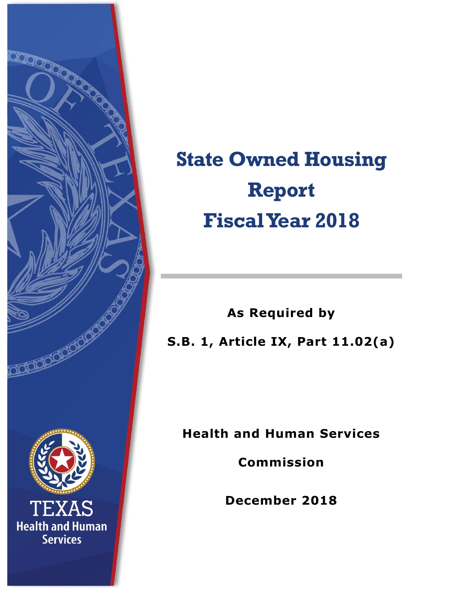

## **State Owned Housing Report Fiscal Year 2018**

**As Required by S.B. 1, Article IX, Part 11.02(a)**

**Health and Human Services** 

**Commission**

**December 2018**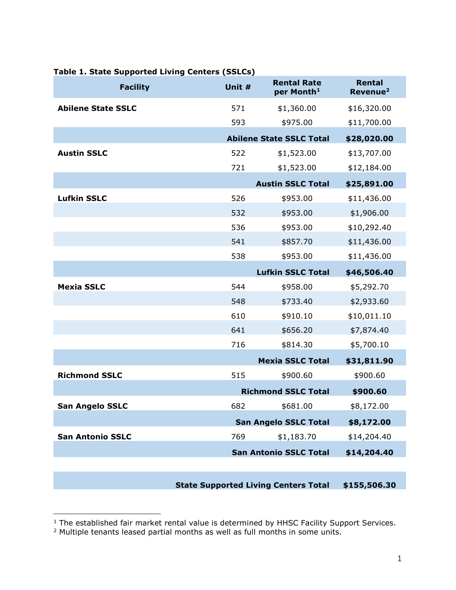| <b>Facility</b>           | Unit #                                         | <b>Rental Rate</b><br>per Month <sup>1</sup> | Rental<br>Revenue <sup>2</sup> |
|---------------------------|------------------------------------------------|----------------------------------------------|--------------------------------|
| <b>Abilene State SSLC</b> | 571                                            | \$1,360.00                                   | \$16,320.00                    |
|                           | 593                                            | \$975.00                                     | \$11,700.00                    |
|                           | <b>Abilene State SSLC Total</b><br>\$28,020.00 |                                              |                                |
| <b>Austin SSLC</b>        | 522                                            | \$1,523.00                                   | \$13,707.00                    |
|                           | 721                                            | \$1,523.00                                   | \$12,184.00                    |
|                           |                                                | <b>Austin SSLC Total</b>                     | \$25,891.00                    |
| <b>Lufkin SSLC</b>        | 526                                            | \$953.00                                     | \$11,436.00                    |
|                           | 532                                            | \$953.00                                     | \$1,906.00                     |
|                           | 536                                            | \$953.00                                     | \$10,292.40                    |
|                           | 541                                            | \$857.70                                     | \$11,436.00                    |
|                           | 538                                            | \$953.00                                     | \$11,436.00                    |
|                           |                                                | <b>Lufkin SSLC Total</b>                     | \$46,506.40                    |
| <b>Mexia SSLC</b>         | 544                                            | \$958.00                                     | \$5,292.70                     |
|                           | 548                                            | \$733.40                                     | \$2,933.60                     |
|                           | 610                                            | \$910.10                                     | \$10,011.10                    |
|                           | 641                                            | \$656.20                                     | \$7,874.40                     |
|                           | 716                                            | \$814.30                                     | \$5,700.10                     |
|                           |                                                | <b>Mexia SSLC Total</b>                      | \$31,811.90                    |
| <b>Richmond SSLC</b>      | 515                                            | \$900.60                                     | \$900.60                       |
|                           |                                                | <b>Richmond SSLC Total</b>                   | \$900.60                       |
| <b>San Angelo SSLC</b>    | 682                                            | \$681.00                                     | \$8,172.00                     |
|                           |                                                | <b>San Angelo SSLC Total</b>                 | \$8,172.00                     |
| <b>San Antonio SSLC</b>   | 769                                            | \$1,183.70                                   | \$14,204.40                    |
|                           |                                                | <b>San Antonio SSLC Total</b>                | \$14,204.40                    |

## **Table 1. State Supported Living Centers (SSLCs)**

**State Supported Living Centers Total \$155,506.30**

j

 $<sup>1</sup>$  The established fair market rental value is determined by HHSC Facility Support Services.</sup>

 $2$  Multiple tenants leased partial months as well as full months in some units.